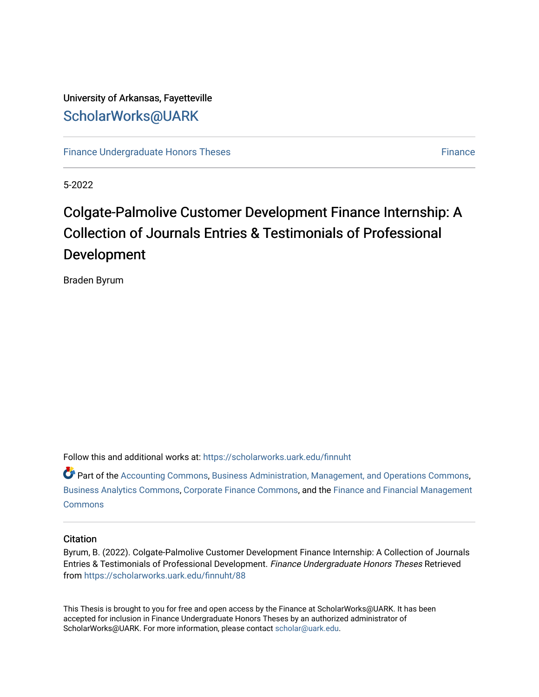## University of Arkansas, Fayetteville [ScholarWorks@UARK](https://scholarworks.uark.edu/)

[Finance Undergraduate Honors Theses](https://scholarworks.uark.edu/finnuht) [Finance](https://scholarworks.uark.edu/finn) **Finance Finance** 

5-2022

# Colgate-Palmolive Customer Development Finance Internship: A Collection of Journals Entries & Testimonials of Professional Development

Braden Byrum

Follow this and additional works at: [https://scholarworks.uark.edu/finnuht](https://scholarworks.uark.edu/finnuht?utm_source=scholarworks.uark.edu%2Ffinnuht%2F88&utm_medium=PDF&utm_campaign=PDFCoverPages)

 $\bullet$  Part of the [Accounting Commons](https://network.bepress.com/hgg/discipline/625?utm_source=scholarworks.uark.edu%2Ffinnuht%2F88&utm_medium=PDF&utm_campaign=PDFCoverPages), [Business Administration, Management, and Operations Commons,](https://network.bepress.com/hgg/discipline/623?utm_source=scholarworks.uark.edu%2Ffinnuht%2F88&utm_medium=PDF&utm_campaign=PDFCoverPages) [Business Analytics Commons](https://network.bepress.com/hgg/discipline/1398?utm_source=scholarworks.uark.edu%2Ffinnuht%2F88&utm_medium=PDF&utm_campaign=PDFCoverPages), [Corporate Finance Commons,](https://network.bepress.com/hgg/discipline/629?utm_source=scholarworks.uark.edu%2Ffinnuht%2F88&utm_medium=PDF&utm_campaign=PDFCoverPages) and the [Finance and Financial Management](https://network.bepress.com/hgg/discipline/631?utm_source=scholarworks.uark.edu%2Ffinnuht%2F88&utm_medium=PDF&utm_campaign=PDFCoverPages)  **[Commons](https://network.bepress.com/hgg/discipline/631?utm_source=scholarworks.uark.edu%2Ffinnuht%2F88&utm_medium=PDF&utm_campaign=PDFCoverPages)** 

#### **Citation**

Byrum, B. (2022). Colgate-Palmolive Customer Development Finance Internship: A Collection of Journals Entries & Testimonials of Professional Development. Finance Undergraduate Honors Theses Retrieved from [https://scholarworks.uark.edu/finnuht/88](https://scholarworks.uark.edu/finnuht/88?utm_source=scholarworks.uark.edu%2Ffinnuht%2F88&utm_medium=PDF&utm_campaign=PDFCoverPages)

This Thesis is brought to you for free and open access by the Finance at ScholarWorks@UARK. It has been accepted for inclusion in Finance Undergraduate Honors Theses by an authorized administrator of ScholarWorks@UARK. For more information, please contact [scholar@uark.edu](mailto:scholar@uark.edu).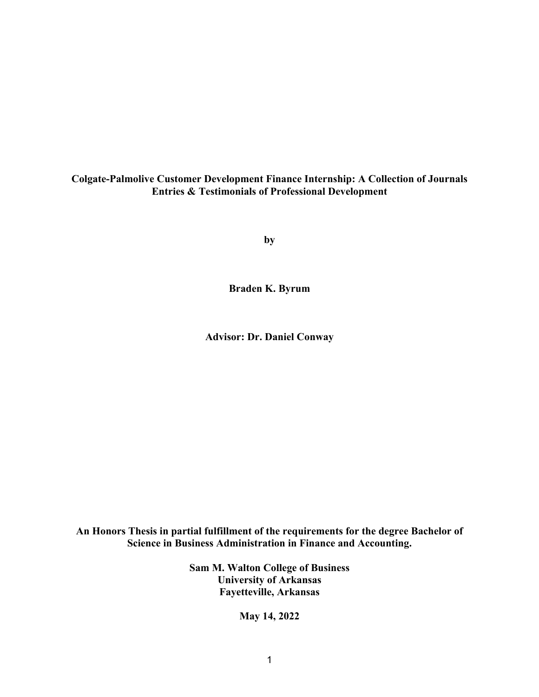## **Colgate-Palmolive Customer Development Finance Internship: A Collection of Journals Entries & Testimonials of Professional Development**

**by**

**Braden K. Byrum**

**Advisor: Dr. Daniel Conway**

## **An Honors Thesis in partial fulfillment of the requirements for the degree Bachelor of Science in Business Administration in Finance and Accounting.**

**Sam M. Walton College of Business University of Arkansas Fayetteville, Arkansas**

**May 14, 2022**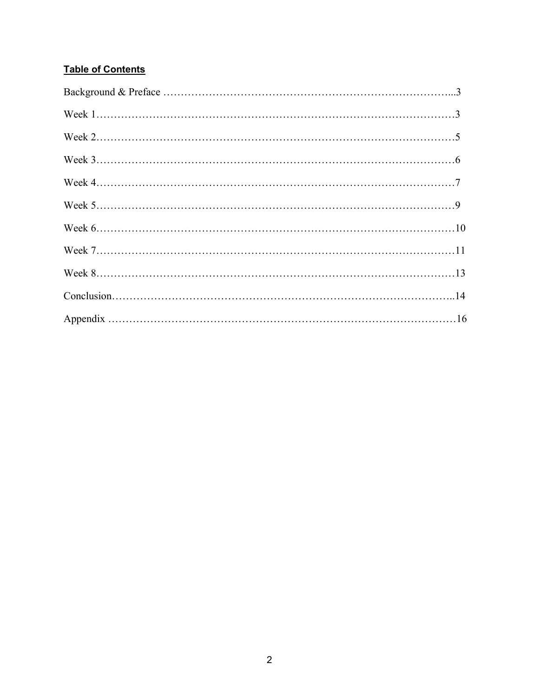## **Table of Contents**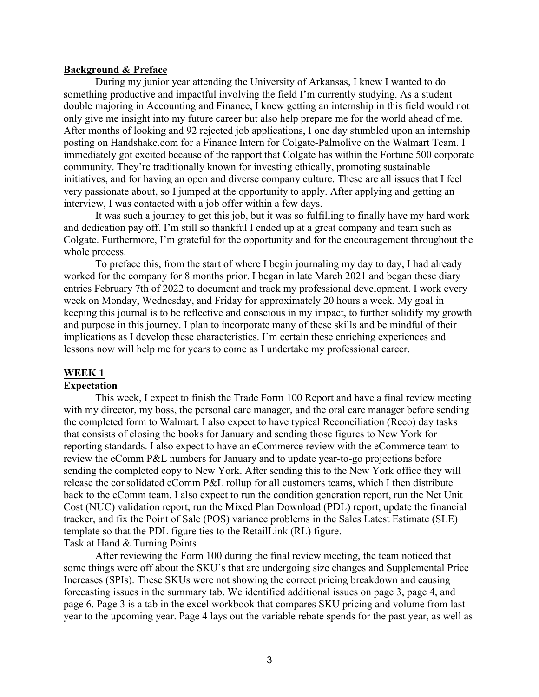#### **Background & Preface**

During my junior year attending the University of Arkansas, I knew I wanted to do something productive and impactful involving the field I'm currently studying. As a student double majoring in Accounting and Finance, I knew getting an internship in this field would not only give me insight into my future career but also help prepare me for the world ahead of me. After months of looking and 92 rejected job applications, I one day stumbled upon an internship posting on Handshake.com for a Finance Intern for Colgate-Palmolive on the Walmart Team. I immediately got excited because of the rapport that Colgate has within the Fortune 500 corporate community. They're traditionally known for investing ethically, promoting sustainable initiatives, and for having an open and diverse company culture. These are all issues that I feel very passionate about, so I jumped at the opportunity to apply. After applying and getting an interview, I was contacted with a job offer within a few days.

It was such a journey to get this job, but it was so fulfilling to finally have my hard work and dedication pay off. I'm still so thankful I ended up at a great company and team such as Colgate. Furthermore, I'm grateful for the opportunity and for the encouragement throughout the whole process.

To preface this, from the start of where I begin journaling my day to day, I had already worked for the company for 8 months prior. I began in late March 2021 and began these diary entries February 7th of 2022 to document and track my professional development. I work every week on Monday, Wednesday, and Friday for approximately 20 hours a week. My goal in keeping this journal is to be reflective and conscious in my impact, to further solidify my growth and purpose in this journey. I plan to incorporate many of these skills and be mindful of their implications as I develop these characteristics. I'm certain these enriching experiences and lessons now will help me for years to come as I undertake my professional career.

#### **WEEK 1**

#### **Expectation**

This week, I expect to finish the Trade Form 100 Report and have a final review meeting with my director, my boss, the personal care manager, and the oral care manager before sending the completed form to Walmart. I also expect to have typical Reconciliation (Reco) day tasks that consists of closing the books for January and sending those figures to New York for reporting standards. I also expect to have an eCommerce review with the eCommerce team to review the eComm P&L numbers for January and to update year-to-go projections before sending the completed copy to New York. After sending this to the New York office they will release the consolidated eComm P&L rollup for all customers teams, which I then distribute back to the eComm team. I also expect to run the condition generation report, run the Net Unit Cost (NUC) validation report, run the Mixed Plan Download (PDL) report, update the financial tracker, and fix the Point of Sale (POS) variance problems in the Sales Latest Estimate (SLE) template so that the PDL figure ties to the RetailLink (RL) figure. Task at Hand & Turning Points

After reviewing the Form 100 during the final review meeting, the team noticed that some things were off about the SKU's that are undergoing size changes and Supplemental Price Increases (SPIs). These SKUs were not showing the correct pricing breakdown and causing forecasting issues in the summary tab. We identified additional issues on page 3, page 4, and page 6. Page 3 is a tab in the excel workbook that compares SKU pricing and volume from last year to the upcoming year. Page 4 lays out the variable rebate spends for the past year, as well as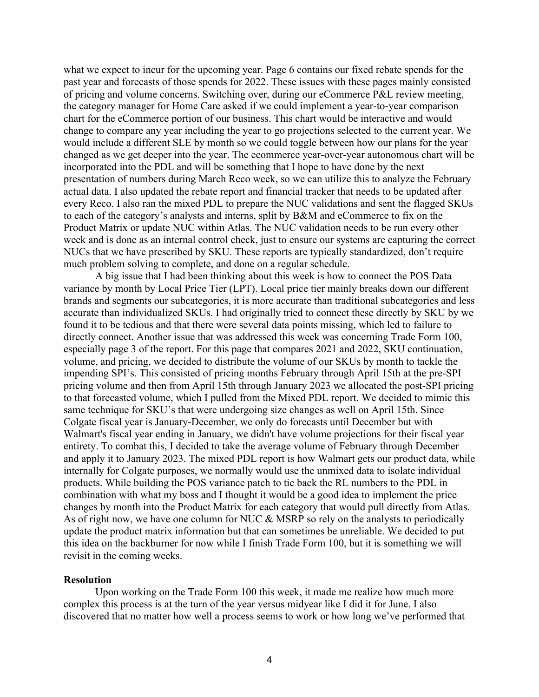what we expect to incur for the upcoming year. Page 6 contains our fixed rebate spends for the past year and forecasts of those spends for 2022. These issues with these pages mainly consisted of pricing and volume concerns. Switching over, during our eCommerce P&L review meeting, the category manager for Home Care asked if we could implement a year-to-year comparison chart for the eCommerce portion of our business. This chart would be interactive and would change to compare any year including the year to go projections selected to the current year. We would include a different SLE by month so we could toggle between how our plans for the year changed as we get deeper into the year. The ecommerce year-over-year autonomous chart will be incorporated into the PDL and will be something that I hope to have done by the next presentation of numbers during March Reco week, so we can utilize this to analyze the February actual data. I also updated the rebate report and financial tracker that needs to be updated after every Reco. I also ran the mixed PDL to prepare the NUC validations and sent the flagged SKUs to each of the category's analysts and interns, split by B&M and eCommerce to fix on the Product Matrix or update NUC within Atlas. The NUC validation needs to be run every other week and is done as an internal control check, just to ensure our systems are capturing the correct NUCs that we have prescribed by SKU. These reports are typically standardized, don't require much problem solving to complete, and done on a regular schedule.

A big issue that I had been thinking about this week is how to connect the POS Data variance by month by Local Price Tier (LPT). Local price tier mainly breaks down our different brands and segments our subcategories, it is more accurate than traditional subcategories and less accurate than individualized SKUs. I had originally tried to connect these directly by SKU by we found it to be tedious and that there were several data points missing, which led to failure to directly connect. Another issue that was addressed this week was concerning Trade Form 100, especially page 3 of the report. For this page that compares 2021 and 2022, SKU continuation, volume, and pricing, we decided to distribute the volume of our SKUs by month to tackle the impending SPI's. This consisted of pricing months February through April 15th at the pre-SPI pricing volume and then from April 15th through January 2023 we allocated the post-SPI pricing to that forecasted volume, which I pulled from the Mixed PDL report. We decided to mimic this same technique for SKU's that were undergoing size changes as well on April 15th. Since Colgate fiscal year is January-December, we only do forecasts until December but with Walmart's fiscal year ending in January, we didn't have volume projections for their fiscal year entirety. To combat this, I decided to take the average volume of February through December and apply it to January 2023. The mixed PDL report is how Walmart gets our product data, while internally for Colgate purposes, we normally would use the unmixed data to isolate individual products. While building the POS variance patch to tie back the RL numbers to the PDL in combination with what my boss and I thought it would be a good idea to implement the price changes by month into the Product Matrix for each category that would pull directly from Atlas. As of right now, we have one column for NUC & MSRP so rely on the analysts to periodically update the product matrix information but that can sometimes be unreliable. We decided to put this idea on the backburner for now while I finish Trade Form 100, but it is something we will revisit in the coming weeks.

#### **Resolution**

Upon working on the Trade Form 100 this week, it made me realize how much more complex this process is at the turn of the year versus midyear like I did it for June. I also discovered that no matter how well a process seems to work or how long we've performed that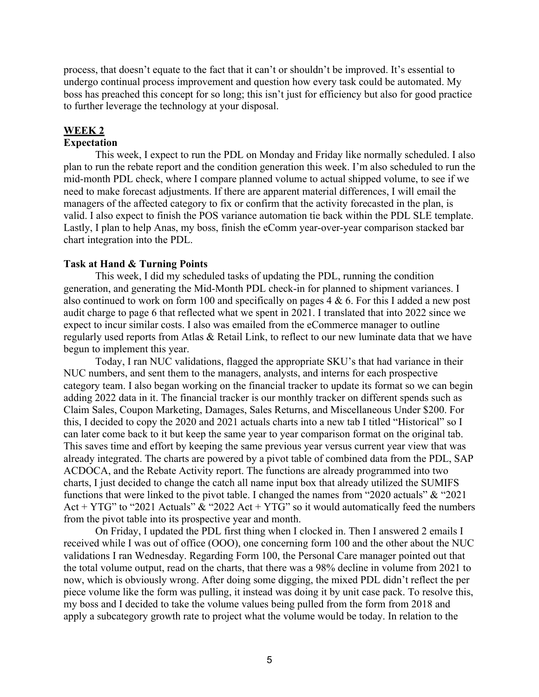process, that doesn't equate to the fact that it can't or shouldn't be improved. It's essential to undergo continual process improvement and question how every task could be automated. My boss has preached this concept for so long; this isn't just for efficiency but also for good practice to further leverage the technology at your disposal.

## **WEEK 2**

## **Expectation**

This week, I expect to run the PDL on Monday and Friday like normally scheduled. I also plan to run the rebate report and the condition generation this week. I'm also scheduled to run the mid-month PDL check, where I compare planned volume to actual shipped volume, to see if we need to make forecast adjustments. If there are apparent material differences, I will email the managers of the affected category to fix or confirm that the activity forecasted in the plan, is valid. I also expect to finish the POS variance automation tie back within the PDL SLE template. Lastly, I plan to help Anas, my boss, finish the eComm year-over-year comparison stacked bar chart integration into the PDL.

### **Task at Hand & Turning Points**

This week, I did my scheduled tasks of updating the PDL, running the condition generation, and generating the Mid-Month PDL check-in for planned to shipment variances. I also continued to work on form 100 and specifically on pages 4 & 6. For this I added a new post audit charge to page 6 that reflected what we spent in 2021. I translated that into 2022 since we expect to incur similar costs. I also was emailed from the eCommerce manager to outline regularly used reports from Atlas & Retail Link, to reflect to our new luminate data that we have begun to implement this year.

Today, I ran NUC validations, flagged the appropriate SKU's that had variance in their NUC numbers, and sent them to the managers, analysts, and interns for each prospective category team. I also began working on the financial tracker to update its format so we can begin adding 2022 data in it. The financial tracker is our monthly tracker on different spends such as Claim Sales, Coupon Marketing, Damages, Sales Returns, and Miscellaneous Under \$200. For this, I decided to copy the 2020 and 2021 actuals charts into a new tab I titled "Historical" so I can later come back to it but keep the same year to year comparison format on the original tab. This saves time and effort by keeping the same previous year versus current year view that was already integrated. The charts are powered by a pivot table of combined data from the PDL, SAP ACDOCA, and the Rebate Activity report. The functions are already programmed into two charts, I just decided to change the catch all name input box that already utilized the SUMIFS functions that were linked to the pivot table. I changed the names from "2020 actuals" & "2021 Act + YTG" to "2021 Actuals"  $&$  "2022 Act + YTG" so it would automatically feed the numbers from the pivot table into its prospective year and month.

On Friday, I updated the PDL first thing when I clocked in. Then I answered 2 emails I received while I was out of office (OOO), one concerning form 100 and the other about the NUC validations I ran Wednesday. Regarding Form 100, the Personal Care manager pointed out that the total volume output, read on the charts, that there was a 98% decline in volume from 2021 to now, which is obviously wrong. After doing some digging, the mixed PDL didn't reflect the per piece volume like the form was pulling, it instead was doing it by unit case pack. To resolve this, my boss and I decided to take the volume values being pulled from the form from 2018 and apply a subcategory growth rate to project what the volume would be today. In relation to the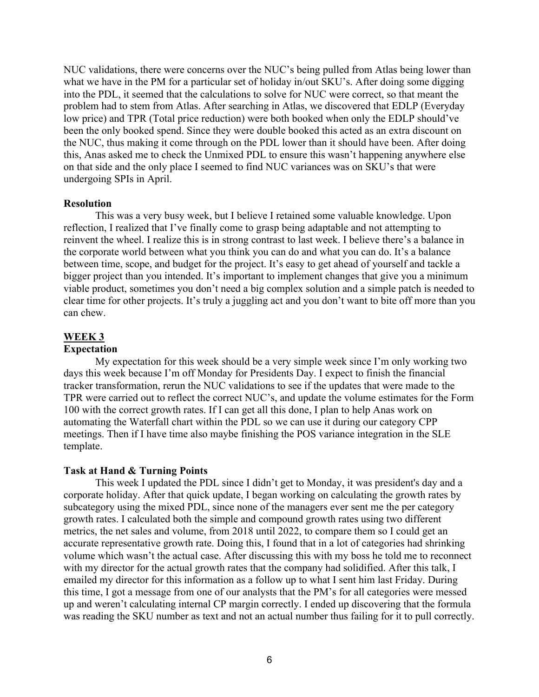NUC validations, there were concerns over the NUC's being pulled from Atlas being lower than what we have in the PM for a particular set of holiday in/out SKU's. After doing some digging into the PDL, it seemed that the calculations to solve for NUC were correct, so that meant the problem had to stem from Atlas. After searching in Atlas, we discovered that EDLP (Everyday low price) and TPR (Total price reduction) were both booked when only the EDLP should've been the only booked spend. Since they were double booked this acted as an extra discount on the NUC, thus making it come through on the PDL lower than it should have been. After doing this, Anas asked me to check the Unmixed PDL to ensure this wasn't happening anywhere else on that side and the only place I seemed to find NUC variances was on SKU's that were undergoing SPIs in April.

#### **Resolution**

This was a very busy week, but I believe I retained some valuable knowledge. Upon reflection, I realized that I've finally come to grasp being adaptable and not attempting to reinvent the wheel. I realize this is in strong contrast to last week. I believe there's a balance in the corporate world between what you think you can do and what you can do. It's a balance between time, scope, and budget for the project. It's easy to get ahead of yourself and tackle a bigger project than you intended. It's important to implement changes that give you a minimum viable product, sometimes you don't need a big complex solution and a simple patch is needed to clear time for other projects. It's truly a juggling act and you don't want to bite off more than you can chew.

#### **WEEK 3**

#### **Expectation**

My expectation for this week should be a very simple week since I'm only working two days this week because I'm off Monday for Presidents Day. I expect to finish the financial tracker transformation, rerun the NUC validations to see if the updates that were made to the TPR were carried out to reflect the correct NUC's, and update the volume estimates for the Form 100 with the correct growth rates. If I can get all this done, I plan to help Anas work on automating the Waterfall chart within the PDL so we can use it during our category CPP meetings. Then if I have time also maybe finishing the POS variance integration in the SLE template.

#### **Task at Hand & Turning Points**

This week I updated the PDL since I didn't get to Monday, it was president's day and a corporate holiday. After that quick update, I began working on calculating the growth rates by subcategory using the mixed PDL, since none of the managers ever sent me the per category growth rates. I calculated both the simple and compound growth rates using two different metrics, the net sales and volume, from 2018 until 2022, to compare them so I could get an accurate representative growth rate. Doing this, I found that in a lot of categories had shrinking volume which wasn't the actual case. After discussing this with my boss he told me to reconnect with my director for the actual growth rates that the company had solidified. After this talk, I emailed my director for this information as a follow up to what I sent him last Friday. During this time, I got a message from one of our analysts that the PM's for all categories were messed up and weren't calculating internal CP margin correctly. I ended up discovering that the formula was reading the SKU number as text and not an actual number thus failing for it to pull correctly.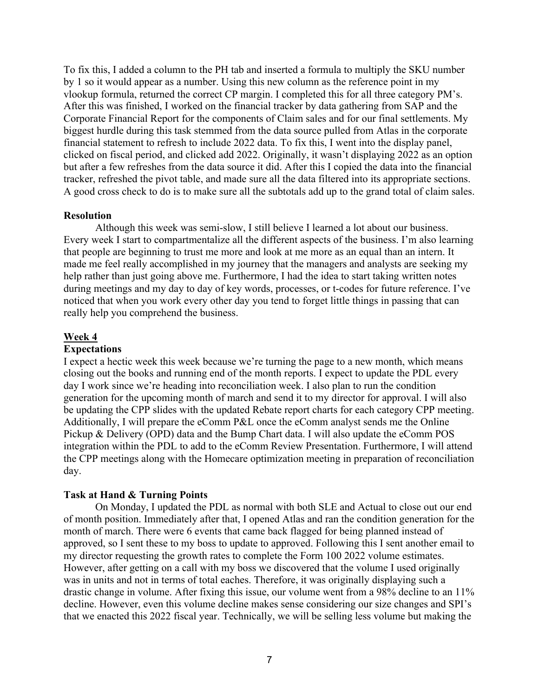To fix this, I added a column to the PH tab and inserted a formula to multiply the SKU number by 1 so it would appear as a number. Using this new column as the reference point in my vlookup formula, returned the correct CP margin. I completed this for all three category PM's. After this was finished, I worked on the financial tracker by data gathering from SAP and the Corporate Financial Report for the components of Claim sales and for our final settlements. My biggest hurdle during this task stemmed from the data source pulled from Atlas in the corporate financial statement to refresh to include 2022 data. To fix this, I went into the display panel, clicked on fiscal period, and clicked add 2022. Originally, it wasn't displaying 2022 as an option but after a few refreshes from the data source it did. After this I copied the data into the financial tracker, refreshed the pivot table, and made sure all the data filtered into its appropriate sections. A good cross check to do is to make sure all the subtotals add up to the grand total of claim sales.

#### **Resolution**

Although this week was semi-slow, I still believe I learned a lot about our business. Every week I start to compartmentalize all the different aspects of the business. I'm also learning that people are beginning to trust me more and look at me more as an equal than an intern. It made me feel really accomplished in my journey that the managers and analysts are seeking my help rather than just going above me. Furthermore, I had the idea to start taking written notes during meetings and my day to day of key words, processes, or t-codes for future reference. I've noticed that when you work every other day you tend to forget little things in passing that can really help you comprehend the business.

#### **Week 4**

#### **Expectations**

I expect a hectic week this week because we're turning the page to a new month, which means closing out the books and running end of the month reports. I expect to update the PDL every day I work since we're heading into reconciliation week. I also plan to run the condition generation for the upcoming month of march and send it to my director for approval. I will also be updating the CPP slides with the updated Rebate report charts for each category CPP meeting. Additionally, I will prepare the eComm P&L once the eComm analyst sends me the Online Pickup & Delivery (OPD) data and the Bump Chart data. I will also update the eComm POS integration within the PDL to add to the eComm Review Presentation. Furthermore, I will attend the CPP meetings along with the Homecare optimization meeting in preparation of reconciliation day.

#### **Task at Hand & Turning Points**

On Monday, I updated the PDL as normal with both SLE and Actual to close out our end of month position. Immediately after that, I opened Atlas and ran the condition generation for the month of march. There were 6 events that came back flagged for being planned instead of approved, so I sent these to my boss to update to approved. Following this I sent another email to my director requesting the growth rates to complete the Form 100 2022 volume estimates. However, after getting on a call with my boss we discovered that the volume I used originally was in units and not in terms of total eaches. Therefore, it was originally displaying such a drastic change in volume. After fixing this issue, our volume went from a 98% decline to an 11% decline. However, even this volume decline makes sense considering our size changes and SPI's that we enacted this 2022 fiscal year. Technically, we will be selling less volume but making the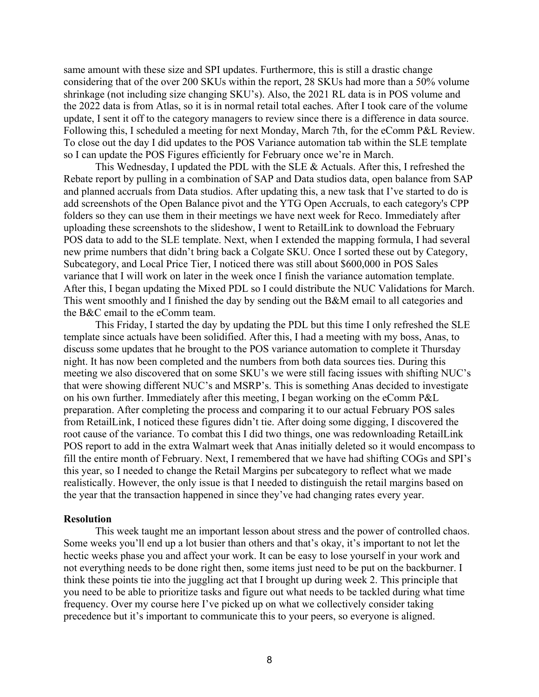same amount with these size and SPI updates. Furthermore, this is still a drastic change considering that of the over 200 SKUs within the report, 28 SKUs had more than a 50% volume shrinkage (not including size changing SKU's). Also, the 2021 RL data is in POS volume and the 2022 data is from Atlas, so it is in normal retail total eaches. After I took care of the volume update, I sent it off to the category managers to review since there is a difference in data source. Following this, I scheduled a meeting for next Monday, March 7th, for the eComm P&L Review. To close out the day I did updates to the POS Variance automation tab within the SLE template so I can update the POS Figures efficiently for February once we're in March.

This Wednesday, I updated the PDL with the SLE & Actuals. After this, I refreshed the Rebate report by pulling in a combination of SAP and Data studios data, open balance from SAP and planned accruals from Data studios. After updating this, a new task that I've started to do is add screenshots of the Open Balance pivot and the YTG Open Accruals, to each category's CPP folders so they can use them in their meetings we have next week for Reco. Immediately after uploading these screenshots to the slideshow, I went to RetailLink to download the February POS data to add to the SLE template. Next, when I extended the mapping formula, I had several new prime numbers that didn't bring back a Colgate SKU. Once I sorted these out by Category, Subcategory, and Local Price Tier, I noticed there was still about \$600,000 in POS Sales variance that I will work on later in the week once I finish the variance automation template. After this, I began updating the Mixed PDL so I could distribute the NUC Validations for March. This went smoothly and I finished the day by sending out the B&M email to all categories and the B&C email to the eComm team.

This Friday, I started the day by updating the PDL but this time I only refreshed the SLE template since actuals have been solidified. After this, I had a meeting with my boss, Anas, to discuss some updates that he brought to the POS variance automation to complete it Thursday night. It has now been completed and the numbers from both data sources ties. During this meeting we also discovered that on some SKU's we were still facing issues with shifting NUC's that were showing different NUC's and MSRP's. This is something Anas decided to investigate on his own further. Immediately after this meeting, I began working on the eComm P&L preparation. After completing the process and comparing it to our actual February POS sales from RetailLink, I noticed these figures didn't tie. After doing some digging, I discovered the root cause of the variance. To combat this I did two things, one was redownloading RetailLink POS report to add in the extra Walmart week that Anas initially deleted so it would encompass to fill the entire month of February. Next, I remembered that we have had shifting COGs and SPI's this year, so I needed to change the Retail Margins per subcategory to reflect what we made realistically. However, the only issue is that I needed to distinguish the retail margins based on the year that the transaction happened in since they've had changing rates every year.

#### **Resolution**

This week taught me an important lesson about stress and the power of controlled chaos. Some weeks you'll end up a lot busier than others and that's okay, it's important to not let the hectic weeks phase you and affect your work. It can be easy to lose yourself in your work and not everything needs to be done right then, some items just need to be put on the backburner. I think these points tie into the juggling act that I brought up during week 2. This principle that you need to be able to prioritize tasks and figure out what needs to be tackled during what time frequency. Over my course here I've picked up on what we collectively consider taking precedence but it's important to communicate this to your peers, so everyone is aligned.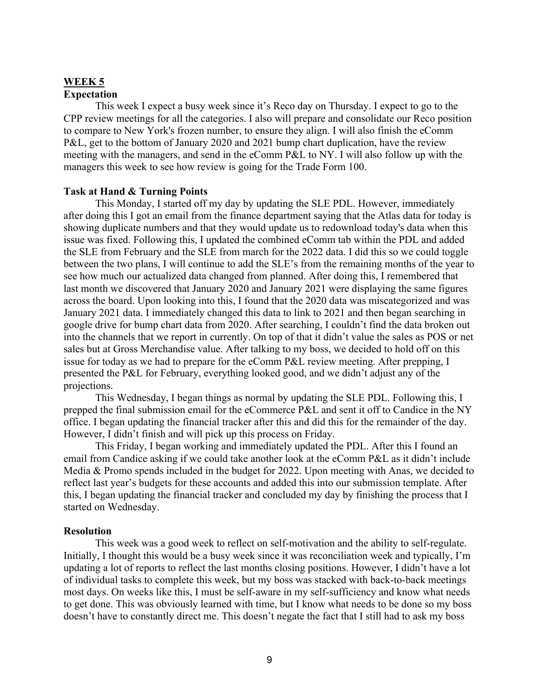## **WEEK 5 Expectation**

This week I expect a busy week since it's Reco day on Thursday. I expect to go to the CPP review meetings for all the categories. I also will prepare and consolidate our Reco position to compare to New York's frozen number, to ensure they align. I will also finish the eComm P&L, get to the bottom of January 2020 and 2021 bump chart duplication, have the review meeting with the managers, and send in the eComm P&L to NY. I will also follow up with the managers this week to see how review is going for the Trade Form 100.

#### **Task at Hand & Turning Points**

This Monday, I started off my day by updating the SLE PDL. However, immediately after doing this I got an email from the finance department saying that the Atlas data for today is showing duplicate numbers and that they would update us to redownload today's data when this issue was fixed. Following this, I updated the combined eComm tab within the PDL and added the SLE from February and the SLE from march for the 2022 data. I did this so we could toggle between the two plans, I will continue to add the SLE's from the remaining months of the year to see how much our actualized data changed from planned. After doing this, I remembered that last month we discovered that January 2020 and January 2021 were displaying the same figures across the board. Upon looking into this, I found that the 2020 data was miscategorized and was January 2021 data. I immediately changed this data to link to 2021 and then began searching in google drive for bump chart data from 2020. After searching, I couldn't find the data broken out into the channels that we report in currently. On top of that it didn't value the sales as POS or net sales but at Gross Merchandise value. After talking to my boss, we decided to hold off on this issue for today as we had to prepare for the eComm P&L review meeting. After prepping, I presented the P&L for February, everything looked good, and we didn't adjust any of the projections.

This Wednesday, I began things as normal by updating the SLE PDL. Following this, I prepped the final submission email for the eCommerce P&L and sent it off to Candice in the NY office. I began updating the financial tracker after this and did this for the remainder of the day. However, I didn't finish and will pick up this process on Friday.

This Friday, I began working and immediately updated the PDL. After this I found an email from Candice asking if we could take another look at the eComm P&L as it didn't include Media & Promo spends included in the budget for 2022. Upon meeting with Anas, we decided to reflect last year's budgets for these accounts and added this into our submission template. After this, I began updating the financial tracker and concluded my day by finishing the process that I started on Wednesday.

#### **Resolution**

This week was a good week to reflect on self-motivation and the ability to self-regulate. Initially, I thought this would be a busy week since it was reconciliation week and typically, I'm updating a lot of reports to reflect the last months closing positions. However, I didn't have a lot of individual tasks to complete this week, but my boss was stacked with back-to-back meetings most days. On weeks like this, I must be self-aware in my self-sufficiency and know what needs to get done. This was obviously learned with time, but I know what needs to be done so my boss doesn't have to constantly direct me. This doesn't negate the fact that I still had to ask my boss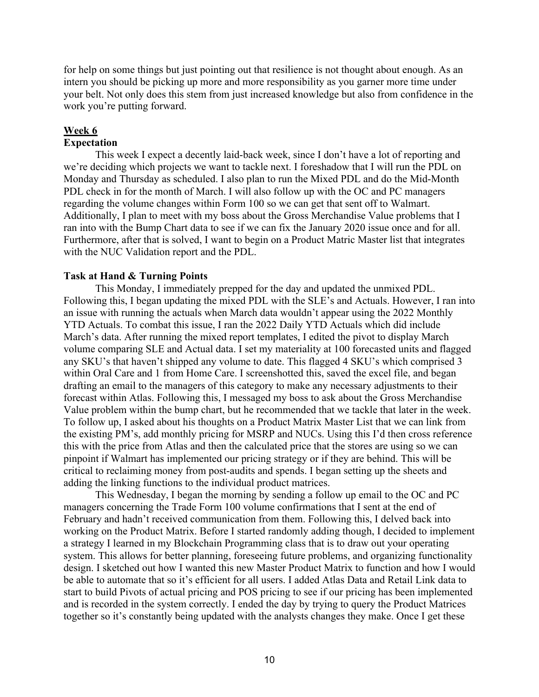for help on some things but just pointing out that resilience is not thought about enough. As an intern you should be picking up more and more responsibility as you garner more time under your belt. Not only does this stem from just increased knowledge but also from confidence in the work you're putting forward.

## **Week 6**

## **Expectation**

This week I expect a decently laid-back week, since I don't have a lot of reporting and we're deciding which projects we want to tackle next. I foreshadow that I will run the PDL on Monday and Thursday as scheduled. I also plan to run the Mixed PDL and do the Mid-Month PDL check in for the month of March. I will also follow up with the OC and PC managers regarding the volume changes within Form 100 so we can get that sent off to Walmart. Additionally, I plan to meet with my boss about the Gross Merchandise Value problems that I ran into with the Bump Chart data to see if we can fix the January 2020 issue once and for all. Furthermore, after that is solved, I want to begin on a Product Matric Master list that integrates with the NUC Validation report and the PDL.

### **Task at Hand & Turning Points**

This Monday, I immediately prepped for the day and updated the unmixed PDL. Following this, I began updating the mixed PDL with the SLE's and Actuals. However, I ran into an issue with running the actuals when March data wouldn't appear using the 2022 Monthly YTD Actuals. To combat this issue, I ran the 2022 Daily YTD Actuals which did include March's data. After running the mixed report templates, I edited the pivot to display March volume comparing SLE and Actual data. I set my materiality at 100 forecasted units and flagged any SKU's that haven't shipped any volume to date. This flagged 4 SKU's which comprised 3 within Oral Care and 1 from Home Care. I screenshotted this, saved the excel file, and began drafting an email to the managers of this category to make any necessary adjustments to their forecast within Atlas. Following this, I messaged my boss to ask about the Gross Merchandise Value problem within the bump chart, but he recommended that we tackle that later in the week. To follow up, I asked about his thoughts on a Product Matrix Master List that we can link from the existing PM's, add monthly pricing for MSRP and NUCs. Using this I'd then cross reference this with the price from Atlas and then the calculated price that the stores are using so we can pinpoint if Walmart has implemented our pricing strategy or if they are behind. This will be critical to reclaiming money from post-audits and spends. I began setting up the sheets and adding the linking functions to the individual product matrices.

This Wednesday, I began the morning by sending a follow up email to the OC and PC managers concerning the Trade Form 100 volume confirmations that I sent at the end of February and hadn't received communication from them. Following this, I delved back into working on the Product Matrix. Before I started randomly adding though, I decided to implement a strategy I learned in my Blockchain Programming class that is to draw out your operating system. This allows for better planning, foreseeing future problems, and organizing functionality design. I sketched out how I wanted this new Master Product Matrix to function and how I would be able to automate that so it's efficient for all users. I added Atlas Data and Retail Link data to start to build Pivots of actual pricing and POS pricing to see if our pricing has been implemented and is recorded in the system correctly. I ended the day by trying to query the Product Matrices together so it's constantly being updated with the analysts changes they make. Once I get these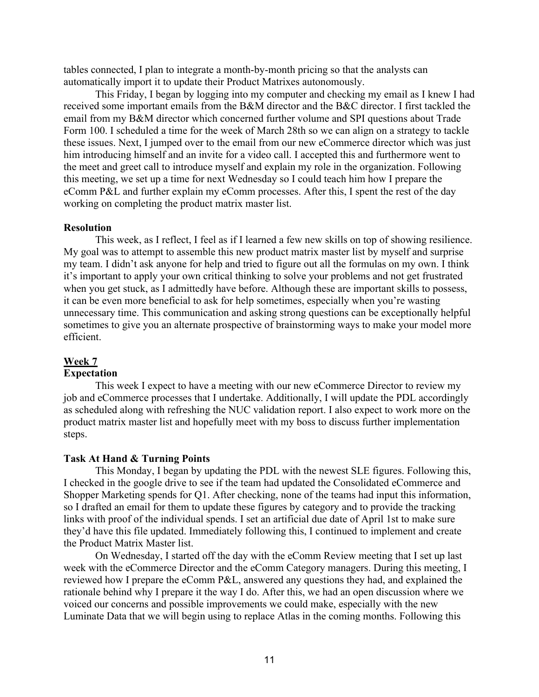tables connected, I plan to integrate a month-by-month pricing so that the analysts can automatically import it to update their Product Matrixes autonomously.

This Friday, I began by logging into my computer and checking my email as I knew I had received some important emails from the B&M director and the B&C director. I first tackled the email from my B&M director which concerned further volume and SPI questions about Trade Form 100. I scheduled a time for the week of March 28th so we can align on a strategy to tackle these issues. Next, I jumped over to the email from our new eCommerce director which was just him introducing himself and an invite for a video call. I accepted this and furthermore went to the meet and greet call to introduce myself and explain my role in the organization. Following this meeting, we set up a time for next Wednesday so I could teach him how I prepare the eComm P&L and further explain my eComm processes. After this, I spent the rest of the day working on completing the product matrix master list.

#### **Resolution**

This week, as I reflect, I feel as if I learned a few new skills on top of showing resilience. My goal was to attempt to assemble this new product matrix master list by myself and surprise my team. I didn't ask anyone for help and tried to figure out all the formulas on my own. I think it's important to apply your own critical thinking to solve your problems and not get frustrated when you get stuck, as I admittedly have before. Although these are important skills to possess, it can be even more beneficial to ask for help sometimes, especially when you're wasting unnecessary time. This communication and asking strong questions can be exceptionally helpful sometimes to give you an alternate prospective of brainstorming ways to make your model more efficient.

#### **Week 7**

#### **Expectation**

This week I expect to have a meeting with our new eCommerce Director to review my job and eCommerce processes that I undertake. Additionally, I will update the PDL accordingly as scheduled along with refreshing the NUC validation report. I also expect to work more on the product matrix master list and hopefully meet with my boss to discuss further implementation steps.

#### **Task At Hand & Turning Points**

This Monday, I began by updating the PDL with the newest SLE figures. Following this, I checked in the google drive to see if the team had updated the Consolidated eCommerce and Shopper Marketing spends for Q1. After checking, none of the teams had input this information, so I drafted an email for them to update these figures by category and to provide the tracking links with proof of the individual spends. I set an artificial due date of April 1st to make sure they'd have this file updated. Immediately following this, I continued to implement and create the Product Matrix Master list.

On Wednesday, I started off the day with the eComm Review meeting that I set up last week with the eCommerce Director and the eComm Category managers. During this meeting, I reviewed how I prepare the eComm P&L, answered any questions they had, and explained the rationale behind why I prepare it the way I do. After this, we had an open discussion where we voiced our concerns and possible improvements we could make, especially with the new Luminate Data that we will begin using to replace Atlas in the coming months. Following this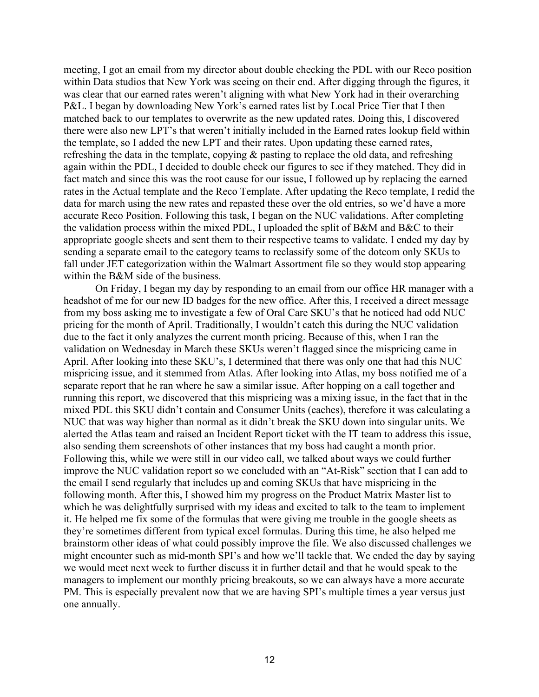meeting, I got an email from my director about double checking the PDL with our Reco position within Data studios that New York was seeing on their end. After digging through the figures, it was clear that our earned rates weren't aligning with what New York had in their overarching P&L. I began by downloading New York's earned rates list by Local Price Tier that I then matched back to our templates to overwrite as the new updated rates. Doing this, I discovered there were also new LPT's that weren't initially included in the Earned rates lookup field within the template, so I added the new LPT and their rates. Upon updating these earned rates, refreshing the data in the template, copying & pasting to replace the old data, and refreshing again within the PDL, I decided to double check our figures to see if they matched. They did in fact match and since this was the root cause for our issue, I followed up by replacing the earned rates in the Actual template and the Reco Template. After updating the Reco template, I redid the data for march using the new rates and repasted these over the old entries, so we'd have a more accurate Reco Position. Following this task, I began on the NUC validations. After completing the validation process within the mixed PDL, I uploaded the split of B&M and B&C to their appropriate google sheets and sent them to their respective teams to validate. I ended my day by sending a separate email to the category teams to reclassify some of the dotcom only SKUs to fall under JET categorization within the Walmart Assortment file so they would stop appearing within the B&M side of the business.

On Friday, I began my day by responding to an email from our office HR manager with a headshot of me for our new ID badges for the new office. After this, I received a direct message from my boss asking me to investigate a few of Oral Care SKU's that he noticed had odd NUC pricing for the month of April. Traditionally, I wouldn't catch this during the NUC validation due to the fact it only analyzes the current month pricing. Because of this, when I ran the validation on Wednesday in March these SKUs weren't flagged since the mispricing came in April. After looking into these SKU's, I determined that there was only one that had this NUC mispricing issue, and it stemmed from Atlas. After looking into Atlas, my boss notified me of a separate report that he ran where he saw a similar issue. After hopping on a call together and running this report, we discovered that this mispricing was a mixing issue, in the fact that in the mixed PDL this SKU didn't contain and Consumer Units (eaches), therefore it was calculating a NUC that was way higher than normal as it didn't break the SKU down into singular units. We alerted the Atlas team and raised an Incident Report ticket with the IT team to address this issue, also sending them screenshots of other instances that my boss had caught a month prior. Following this, while we were still in our video call, we talked about ways we could further improve the NUC validation report so we concluded with an "At-Risk" section that I can add to the email I send regularly that includes up and coming SKUs that have mispricing in the following month. After this, I showed him my progress on the Product Matrix Master list to which he was delightfully surprised with my ideas and excited to talk to the team to implement it. He helped me fix some of the formulas that were giving me trouble in the google sheets as they're sometimes different from typical excel formulas. During this time, he also helped me brainstorm other ideas of what could possibly improve the file. We also discussed challenges we might encounter such as mid-month SPI's and how we'll tackle that. We ended the day by saying we would meet next week to further discuss it in further detail and that he would speak to the managers to implement our monthly pricing breakouts, so we can always have a more accurate PM. This is especially prevalent now that we are having SPI's multiple times a year versus just one annually.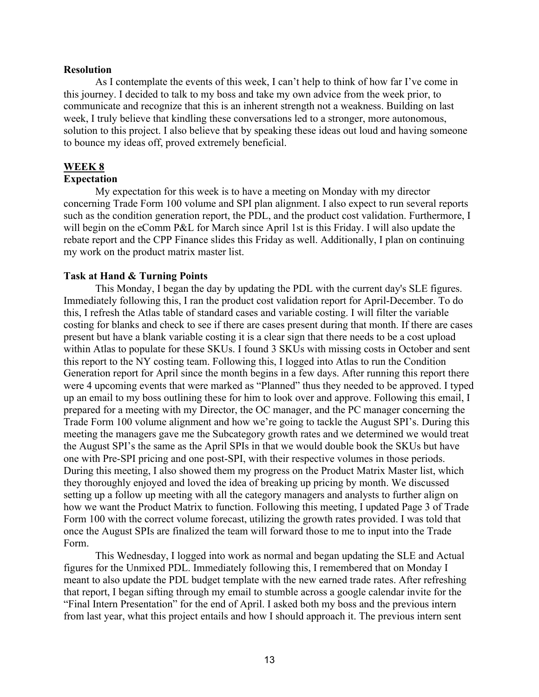#### **Resolution**

As I contemplate the events of this week, I can't help to think of how far I've come in this journey. I decided to talk to my boss and take my own advice from the week prior, to communicate and recognize that this is an inherent strength not a weakness. Building on last week, I truly believe that kindling these conversations led to a stronger, more autonomous, solution to this project. I also believe that by speaking these ideas out loud and having someone to bounce my ideas off, proved extremely beneficial.

## **WEEK 8**

## **Expectation**

My expectation for this week is to have a meeting on Monday with my director concerning Trade Form 100 volume and SPI plan alignment. I also expect to run several reports such as the condition generation report, the PDL, and the product cost validation. Furthermore, I will begin on the eComm P&L for March since April 1st is this Friday. I will also update the rebate report and the CPP Finance slides this Friday as well. Additionally, I plan on continuing my work on the product matrix master list.

#### **Task at Hand & Turning Points**

This Monday, I began the day by updating the PDL with the current day's SLE figures. Immediately following this, I ran the product cost validation report for April-December. To do this, I refresh the Atlas table of standard cases and variable costing. I will filter the variable costing for blanks and check to see if there are cases present during that month. If there are cases present but have a blank variable costing it is a clear sign that there needs to be a cost upload within Atlas to populate for these SKUs. I found 3 SKUs with missing costs in October and sent this report to the NY costing team. Following this, I logged into Atlas to run the Condition Generation report for April since the month begins in a few days. After running this report there were 4 upcoming events that were marked as "Planned" thus they needed to be approved. I typed up an email to my boss outlining these for him to look over and approve. Following this email, I prepared for a meeting with my Director, the OC manager, and the PC manager concerning the Trade Form 100 volume alignment and how we're going to tackle the August SPI's. During this meeting the managers gave me the Subcategory growth rates and we determined we would treat the August SPI's the same as the April SPIs in that we would double book the SKUs but have one with Pre-SPI pricing and one post-SPI, with their respective volumes in those periods. During this meeting, I also showed them my progress on the Product Matrix Master list, which they thoroughly enjoyed and loved the idea of breaking up pricing by month. We discussed setting up a follow up meeting with all the category managers and analysts to further align on how we want the Product Matrix to function. Following this meeting, I updated Page 3 of Trade Form 100 with the correct volume forecast, utilizing the growth rates provided. I was told that once the August SPIs are finalized the team will forward those to me to input into the Trade Form.

This Wednesday, I logged into work as normal and began updating the SLE and Actual figures for the Unmixed PDL. Immediately following this, I remembered that on Monday I meant to also update the PDL budget template with the new earned trade rates. After refreshing that report, I began sifting through my email to stumble across a google calendar invite for the "Final Intern Presentation" for the end of April. I asked both my boss and the previous intern from last year, what this project entails and how I should approach it. The previous intern sent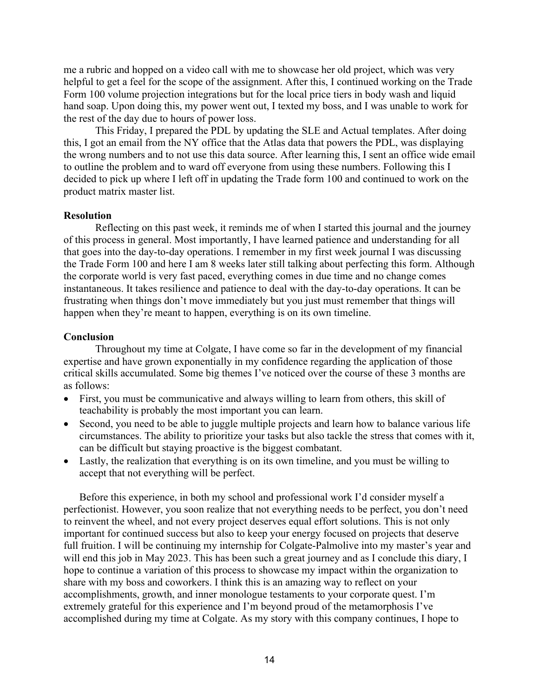me a rubric and hopped on a video call with me to showcase her old project, which was very helpful to get a feel for the scope of the assignment. After this, I continued working on the Trade Form 100 volume projection integrations but for the local price tiers in body wash and liquid hand soap. Upon doing this, my power went out, I texted my boss, and I was unable to work for the rest of the day due to hours of power loss.

This Friday, I prepared the PDL by updating the SLE and Actual templates. After doing this, I got an email from the NY office that the Atlas data that powers the PDL, was displaying the wrong numbers and to not use this data source. After learning this, I sent an office wide email to outline the problem and to ward off everyone from using these numbers. Following this I decided to pick up where I left off in updating the Trade form 100 and continued to work on the product matrix master list.

#### **Resolution**

Reflecting on this past week, it reminds me of when I started this journal and the journey of this process in general. Most importantly, I have learned patience and understanding for all that goes into the day-to-day operations. I remember in my first week journal I was discussing the Trade Form 100 and here I am 8 weeks later still talking about perfecting this form. Although the corporate world is very fast paced, everything comes in due time and no change comes instantaneous. It takes resilience and patience to deal with the day-to-day operations. It can be frustrating when things don't move immediately but you just must remember that things will happen when they're meant to happen, everything is on its own timeline.

#### **Conclusion**

Throughout my time at Colgate, I have come so far in the development of my financial expertise and have grown exponentially in my confidence regarding the application of those critical skills accumulated. Some big themes I've noticed over the course of these 3 months are as follows:

- First, you must be communicative and always willing to learn from others, this skill of teachability is probably the most important you can learn.
- Second, you need to be able to juggle multiple projects and learn how to balance various life circumstances. The ability to prioritize your tasks but also tackle the stress that comes with it, can be difficult but staying proactive is the biggest combatant.
- Lastly, the realization that everything is on its own timeline, and you must be willing to accept that not everything will be perfect.

Before this experience, in both my school and professional work I'd consider myself a perfectionist. However, you soon realize that not everything needs to be perfect, you don't need to reinvent the wheel, and not every project deserves equal effort solutions. This is not only important for continued success but also to keep your energy focused on projects that deserve full fruition. I will be continuing my internship for Colgate-Palmolive into my master's year and will end this job in May 2023. This has been such a great journey and as I conclude this diary, I hope to continue a variation of this process to showcase my impact within the organization to share with my boss and coworkers. I think this is an amazing way to reflect on your accomplishments, growth, and inner monologue testaments to your corporate quest. I'm extremely grateful for this experience and I'm beyond proud of the metamorphosis I've accomplished during my time at Colgate. As my story with this company continues, I hope to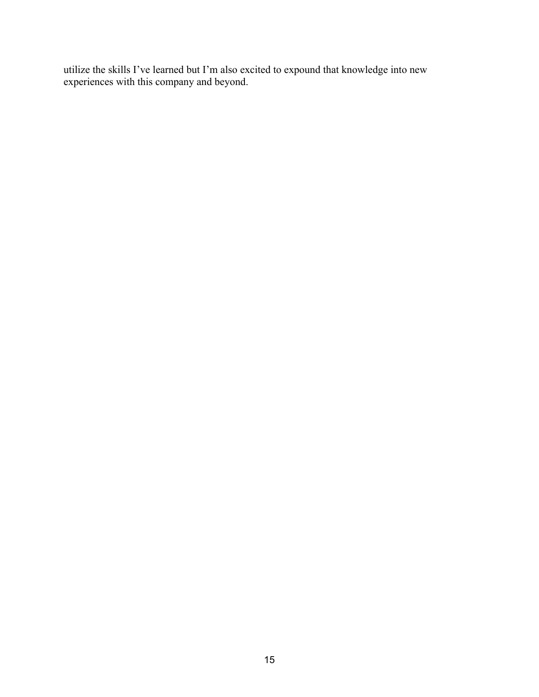utilize the skills I've learned but I'm also excited to expound that knowledge into new experiences with this company and beyond.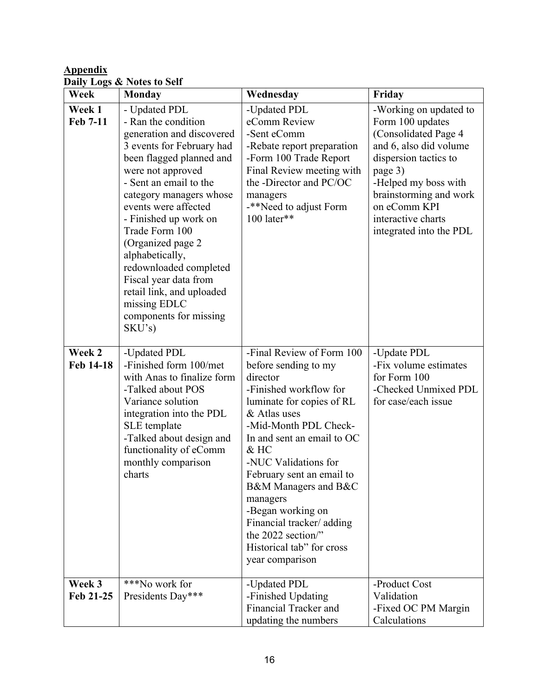## **Appendix Daily Logs & Notes to Self**

| Week                | <b>Monday</b>                                                                                                                                                                                                                                                                                                                                                                                                                                       | Wednesday                                                                                                                                                                                                                                                                                                                                                                                                            | Friday                                                                                                                                                                                                                                              |
|---------------------|-----------------------------------------------------------------------------------------------------------------------------------------------------------------------------------------------------------------------------------------------------------------------------------------------------------------------------------------------------------------------------------------------------------------------------------------------------|----------------------------------------------------------------------------------------------------------------------------------------------------------------------------------------------------------------------------------------------------------------------------------------------------------------------------------------------------------------------------------------------------------------------|-----------------------------------------------------------------------------------------------------------------------------------------------------------------------------------------------------------------------------------------------------|
| Week 1<br>Feb 7-11  | - Updated PDL<br>- Ran the condition<br>generation and discovered<br>3 events for February had<br>been flagged planned and<br>were not approved<br>- Sent an email to the<br>category managers whose<br>events were affected<br>- Finished up work on<br>Trade Form 100<br>(Organized page 2<br>alphabetically,<br>redownloaded completed<br>Fiscal year data from<br>retail link, and uploaded<br>missing EDLC<br>components for missing<br>SKU's) | -Updated PDL<br>eComm Review<br>-Sent eComm<br>-Rebate report preparation<br>-Form 100 Trade Report<br>Final Review meeting with<br>the -Director and PC/OC<br>managers<br>-**Need to adjust Form<br>100 later**                                                                                                                                                                                                     | -Working on updated to<br>Form 100 updates<br>(Consolidated Page 4<br>and 6, also did volume<br>dispersion tactics to<br>page 3)<br>-Helped my boss with<br>brainstorming and work<br>on eComm KPI<br>interactive charts<br>integrated into the PDL |
| Week 2<br>Feb 14-18 | -Updated PDL<br>-Finished form 100/met<br>with Anas to finalize form<br>-Talked about POS<br>Variance solution<br>integration into the PDL<br>SLE template<br>-Talked about design and<br>functionality of eComm<br>monthly comparison<br>charts                                                                                                                                                                                                    | -Final Review of Form 100<br>before sending to my<br>director<br>-Finished workflow for<br>luminate for copies of RL<br>& Atlas uses<br>-Mid-Month PDL Check-<br>In and sent an email to OC<br>$&$ HC<br>-NUC Validations for<br>February sent an email to<br>B&M Managers and B&C<br>managers<br>-Began working on<br>Financial tracker/adding<br>the 2022 section"<br>Historical tab" for cross<br>year comparison | -Update PDL<br>-Fix volume estimates<br>for Form 100<br>-Checked Unmixed PDL<br>for case/each issue                                                                                                                                                 |
| Week 3<br>Feb 21-25 | ***No work for<br>Presidents Day***                                                                                                                                                                                                                                                                                                                                                                                                                 | -Updated PDL<br>-Finished Updating<br>Financial Tracker and<br>updating the numbers                                                                                                                                                                                                                                                                                                                                  | -Product Cost<br>Validation<br>-Fixed OC PM Margin<br>Calculations                                                                                                                                                                                  |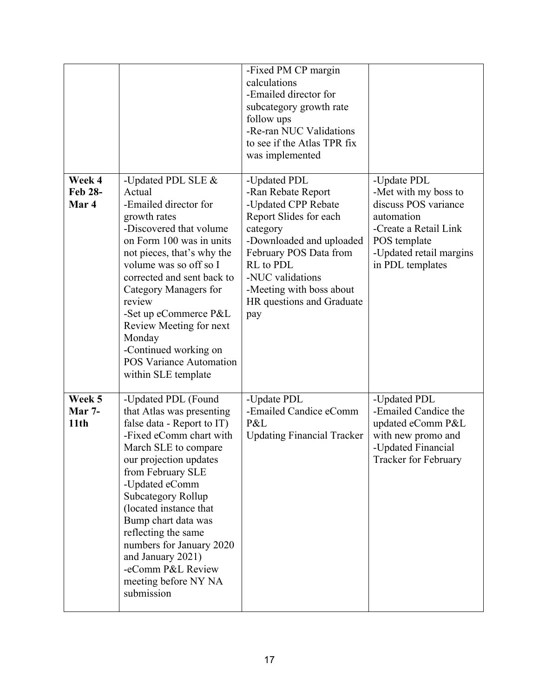|                                   |                                                                                                                                                                                                                                                                                                                                                                                                                     | -Fixed PM CP margin<br>calculations<br>-Emailed director for<br>subcategory growth rate<br>follow ups<br>-Re-ran NUC Validations<br>to see if the Atlas TPR fix<br>was implemented                                                                     |                                                                                                                                                                   |
|-----------------------------------|---------------------------------------------------------------------------------------------------------------------------------------------------------------------------------------------------------------------------------------------------------------------------------------------------------------------------------------------------------------------------------------------------------------------|--------------------------------------------------------------------------------------------------------------------------------------------------------------------------------------------------------------------------------------------------------|-------------------------------------------------------------------------------------------------------------------------------------------------------------------|
| Week 4<br><b>Feb 28-</b><br>Mar 4 | -Updated PDL SLE &<br>Actual<br>-Emailed director for<br>growth rates<br>-Discovered that volume<br>on Form 100 was in units<br>not pieces, that's why the<br>volume was so off so I<br>corrected and sent back to<br>Category Managers for<br>review<br>-Set up eCommerce P&L<br>Review Meeting for next<br>Monday<br>-Continued working on<br><b>POS Variance Automation</b><br>within SLE template               | -Updated PDL<br>-Ran Rebate Report<br>-Updated CPP Rebate<br>Report Slides for each<br>category<br>-Downloaded and uploaded<br>February POS Data from<br>RL to PDL<br>-NUC validations<br>-Meeting with boss about<br>HR questions and Graduate<br>pay | -Update PDL<br>-Met with my boss to<br>discuss POS variance<br>automation<br>-Create a Retail Link<br>POS template<br>-Updated retail margins<br>in PDL templates |
| Week 5<br><b>Mar 7-</b><br>11th   | -Updated PDL (Found<br>that Atlas was presenting<br>false data - Report to IT)<br>-Fixed eComm chart with<br>March SLE to compare<br>our projection updates<br>from February SLE<br>-Updated eComm<br><b>Subcategory Rollup</b><br>(located instance that<br>Bump chart data was<br>reflecting the same<br>numbers for January 2020<br>and January 2021)<br>-eComm P&L Review<br>meeting before NY NA<br>submission | -Update PDL<br>-Emailed Candice eComm<br>P&L<br><b>Updating Financial Tracker</b>                                                                                                                                                                      | -Updated PDL<br>-Emailed Candice the<br>updated eComm P&L<br>with new promo and<br>-Updated Financial<br>Tracker for February                                     |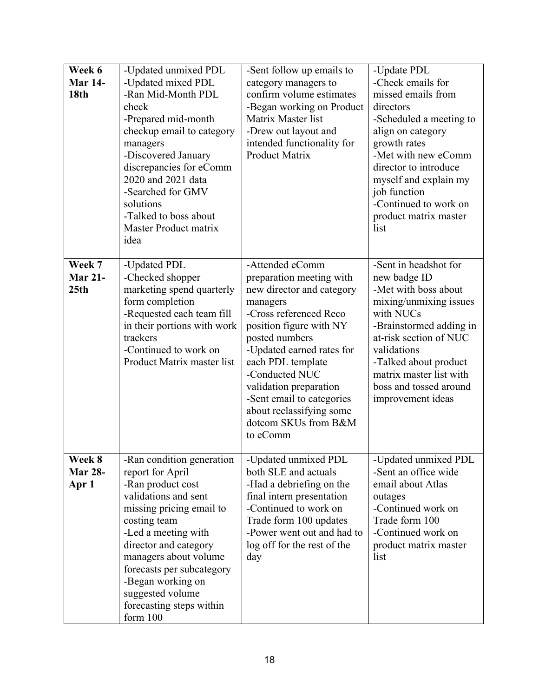| Week 6           | -Updated unmixed PDL         | -Sent follow up emails to                        | -Update PDL             |
|------------------|------------------------------|--------------------------------------------------|-------------------------|
| <b>Mar 14-</b>   | -Updated mixed PDL           | category managers to                             | -Check emails for       |
| <b>18th</b>      | -Ran Mid-Month PDL           | confirm volume estimates                         | missed emails from      |
|                  | check                        | -Began working on Product                        | directors               |
|                  | -Prepared mid-month          | Matrix Master list                               | -Scheduled a meeting to |
|                  | checkup email to category    | -Drew out layout and                             | align on category       |
|                  | managers                     | intended functionality for                       | growth rates            |
|                  | -Discovered January          | <b>Product Matrix</b>                            | -Met with new eComm     |
|                  | discrepancies for eComm      |                                                  | director to introduce   |
|                  | 2020 and 2021 data           |                                                  | myself and explain my   |
|                  | -Searched for GMV            |                                                  | job function            |
|                  | solutions                    |                                                  | -Continued to work on   |
|                  | -Talked to boss about        |                                                  | product matrix master   |
|                  | <b>Master Product matrix</b> |                                                  | list                    |
|                  | idea                         |                                                  |                         |
|                  |                              |                                                  |                         |
| Week 7           | -Updated PDL                 | -Attended eComm                                  | -Sent in headshot for   |
| <b>Mar 21-</b>   | -Checked shopper             | preparation meeting with                         | new badge ID            |
| 25 <sub>th</sub> | marketing spend quarterly    | new director and category                        | -Met with boss about    |
|                  | form completion              | managers                                         | mixing/unmixing issues  |
|                  | -Requested each team fill    | -Cross referenced Reco                           | with NUCs               |
|                  | in their portions with work  | position figure with NY                          | -Brainstormed adding in |
|                  | trackers                     | posted numbers                                   | at-risk section of NUC  |
|                  | -Continued to work on        | -Updated earned rates for                        | validations             |
|                  | Product Matrix master list   | each PDL template                                | -Talked about product   |
|                  |                              | -Conducted NUC                                   | matrix master list with |
|                  |                              | validation preparation                           | boss and tossed around  |
|                  |                              | -Sent email to categories                        | improvement ideas       |
|                  |                              | about reclassifying some<br>dotcom SKUs from B&M |                         |
|                  |                              | to eComm                                         |                         |
|                  |                              |                                                  |                         |
| Week 8           | -Ran condition generation    | -Updated unmixed PDL                             | -Updated unmixed PDL    |
| <b>Mar 28-</b>   | report for April             | both SLE and actuals                             | -Sent an office wide    |
| Apr 1            | -Ran product cost            | -Had a debriefing on the                         | email about Atlas       |
|                  | validations and sent         | final intern presentation                        | outages                 |
|                  | missing pricing email to     | -Continued to work on                            | -Continued work on      |
|                  | costing team                 | Trade form 100 updates                           | Trade form 100          |
|                  | -Led a meeting with          | -Power went out and had to                       | -Continued work on      |
|                  | director and category        | log off for the rest of the                      | product matrix master   |
|                  | managers about volume        | day                                              | list                    |
|                  | forecasts per subcategory    |                                                  |                         |
|                  | -Began working on            |                                                  |                         |
|                  | suggested volume             |                                                  |                         |
|                  | forecasting steps within     |                                                  |                         |
|                  | form 100                     |                                                  |                         |